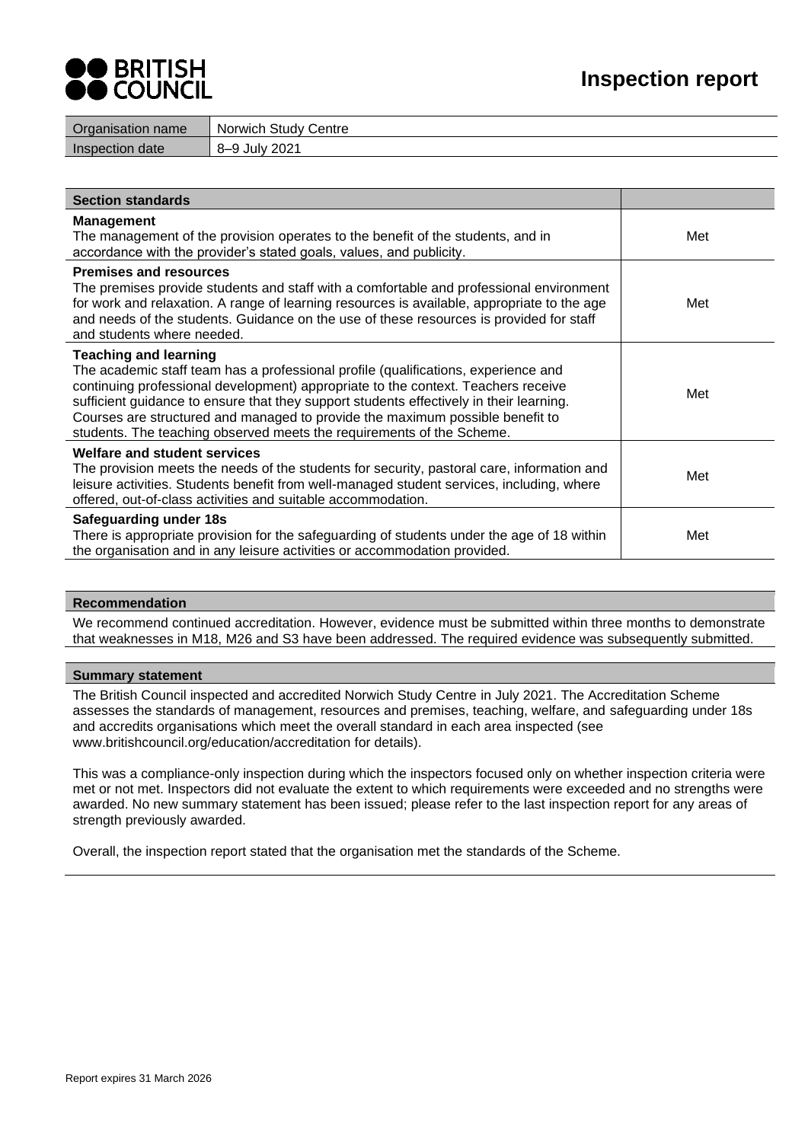# O BRITISH<br>O COUNCIL

| Organisation name | Norwich Study Centre        |
|-------------------|-----------------------------|
| Inspection date   | <b>July 2021</b><br>$R_{-}$ |
|                   |                             |

| <b>Section standards</b>                                                                                                                                                                                                                                                                                                                                                                                                                                     |     |
|--------------------------------------------------------------------------------------------------------------------------------------------------------------------------------------------------------------------------------------------------------------------------------------------------------------------------------------------------------------------------------------------------------------------------------------------------------------|-----|
| <b>Management</b><br>The management of the provision operates to the benefit of the students, and in<br>accordance with the provider's stated goals, values, and publicity.                                                                                                                                                                                                                                                                                  | Met |
| <b>Premises and resources</b><br>The premises provide students and staff with a comfortable and professional environment<br>for work and relaxation. A range of learning resources is available, appropriate to the age<br>and needs of the students. Guidance on the use of these resources is provided for staff<br>and students where needed.                                                                                                             | Met |
| <b>Teaching and learning</b><br>The academic staff team has a professional profile (qualifications, experience and<br>continuing professional development) appropriate to the context. Teachers receive<br>sufficient guidance to ensure that they support students effectively in their learning.<br>Courses are structured and managed to provide the maximum possible benefit to<br>students. The teaching observed meets the requirements of the Scheme. | Met |
| <b>Welfare and student services</b><br>The provision meets the needs of the students for security, pastoral care, information and<br>leisure activities. Students benefit from well-managed student services, including, where<br>offered, out-of-class activities and suitable accommodation.                                                                                                                                                               | Met |
| Safeguarding under 18s<br>There is appropriate provision for the safeguarding of students under the age of 18 within<br>the organisation and in any leisure activities or accommodation provided.                                                                                                                                                                                                                                                            | Met |

## **Recommendation**

We recommend continued accreditation. However, evidence must be submitted within three months to demonstrate that weaknesses in M18, M26 and S3 have been addressed. The required evidence was subsequently submitted.

#### **Summary statement**

The British Council inspected and accredited Norwich Study Centre in July 2021. The Accreditation Scheme assesses the standards of management, resources and premises, teaching, welfare, and safeguarding under 18s and accredits organisations which meet the overall standard in each area inspected (see [www.britishcouncil.org/education/accreditation](http://www.britishcouncil.org/education/accreditation) for details).

This was a compliance-only inspection during which the inspectors focused only on whether inspection criteria were met or not met. Inspectors did not evaluate the extent to which requirements were exceeded and no strengths were awarded. No new summary statement has been issued; please refer to the last inspection report for any areas of strength previously awarded.

Overall, the inspection report stated that the organisation met the standards of the Scheme.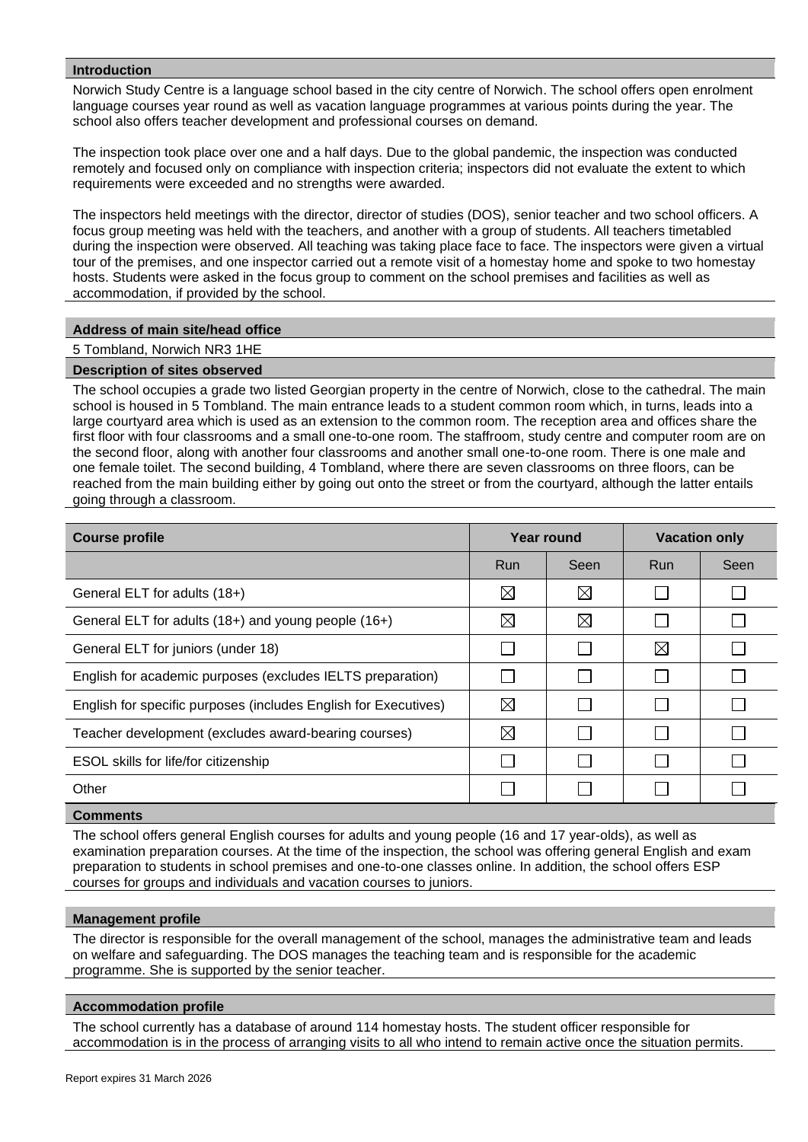## **Introduction**

Norwich Study Centre is a language school based in the city centre of Norwich. The school offers open enrolment language courses year round as well as vacation language programmes at various points during the year. The school also offers teacher development and professional courses on demand.

The inspection took place over one and a half days. Due to the global pandemic, the inspection was conducted remotely and focused only on compliance with inspection criteria; inspectors did not evaluate the extent to which requirements were exceeded and no strengths were awarded.

The inspectors held meetings with the director, director of studies (DOS), senior teacher and two school officers. A focus group meeting was held with the teachers, and another with a group of students. All teachers timetabled during the inspection were observed. All teaching was taking place face to face. The inspectors were given a virtual tour of the premises, and one inspector carried out a remote visit of a homestay home and spoke to two homestay hosts. Students were asked in the focus group to comment on the school premises and facilities as well as accommodation, if provided by the school.

## **Address of main site/head office**

#### 5 Tombland, Norwich NR3 1HE

## **Description of sites observed**

The school occupies a grade two listed Georgian property in the centre of Norwich, close to the cathedral. The main school is housed in 5 Tombland. The main entrance leads to a student common room which, in turns, leads into a large courtyard area which is used as an extension to the common room. The reception area and offices share the first floor with four classrooms and a small one-to-one room. The staffroom, study centre and computer room are on the second floor, along with another four classrooms and another small one-to-one room. There is one male and one female toilet. The second building, 4 Tombland, where there are seven classrooms on three floors, can be reached from the main building either by going out onto the street or from the courtyard, although the latter entails going through a classroom.

| <b>Course profile</b>                                           | Year round  |             | <b>Vacation only</b> |      |
|-----------------------------------------------------------------|-------------|-------------|----------------------|------|
|                                                                 | <b>Run</b>  | Seen        | <b>Run</b>           | Seen |
| General ELT for adults (18+)                                    | $\boxtimes$ | $\boxtimes$ |                      |      |
| General ELT for adults (18+) and young people (16+)             | $\boxtimes$ | $\boxtimes$ |                      |      |
| General ELT for juniors (under 18)                              |             |             | $\boxtimes$          |      |
| English for academic purposes (excludes IELTS preparation)      |             |             |                      |      |
| English for specific purposes (includes English for Executives) | $\boxtimes$ |             |                      |      |
| Teacher development (excludes award-bearing courses)            | $\boxtimes$ |             |                      |      |
| ESOL skills for life/for citizenship                            |             |             |                      |      |
| Other                                                           |             |             |                      |      |
|                                                                 |             |             |                      |      |

#### **Comments**

The school offers general English courses for adults and young people (16 and 17 year-olds), as well as examination preparation courses. At the time of the inspection, the school was offering general English and exam preparation to students in school premises and one-to-one classes online. In addition, the school offers ESP courses for groups and individuals and vacation courses to juniors.

#### **Management profile**

The director is responsible for the overall management of the school, manages the administrative team and leads on welfare and safeguarding. The DOS manages the teaching team and is responsible for the academic programme. She is supported by the senior teacher.

#### **Accommodation profile**

The school currently has a database of around 114 homestay hosts. The student officer responsible for accommodation is in the process of arranging visits to all who intend to remain active once the situation permits.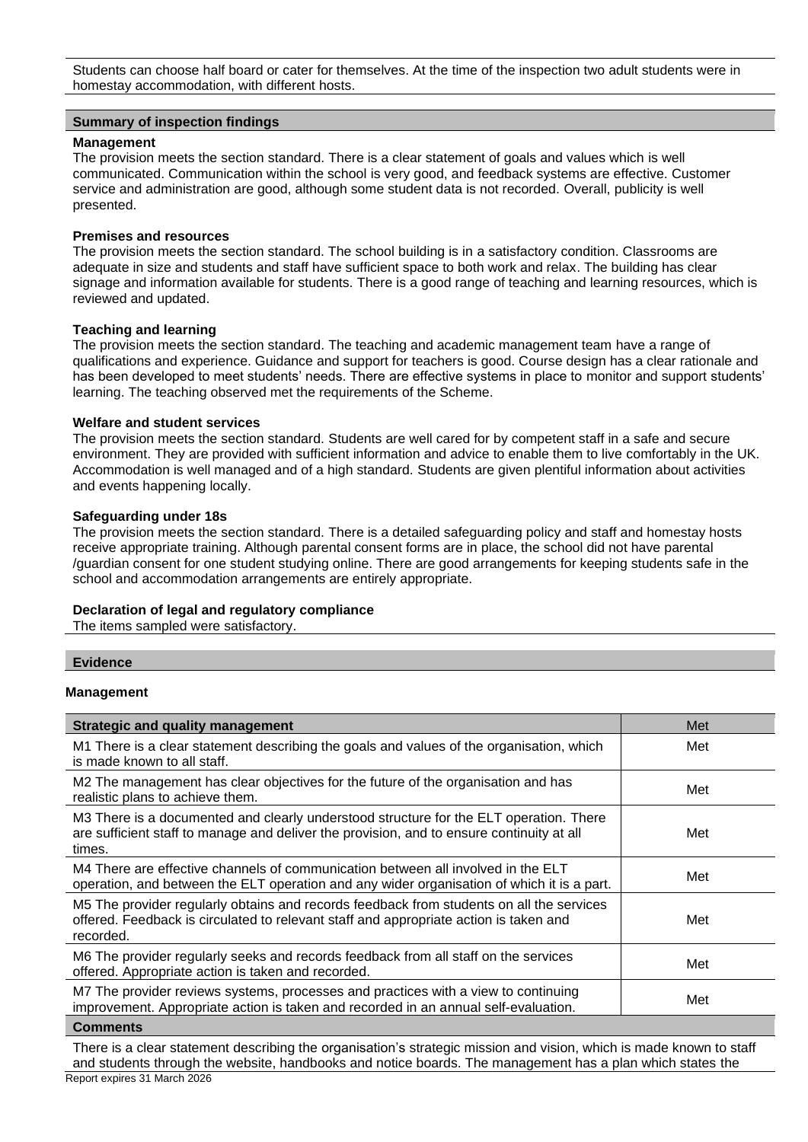Students can choose half board or cater for themselves. At the time of the inspection two adult students were in homestay accommodation, with different hosts.

## **Summary of inspection findings**

## **Management**

The provision meets the section standard. There is a clear statement of goals and values which is well communicated. Communication within the school is very good, and feedback systems are effective. Customer service and administration are good, although some student data is not recorded. Overall, publicity is well presented.

## **Premises and resources**

The provision meets the section standard. The school building is in a satisfactory condition. Classrooms are adequate in size and students and staff have sufficient space to both work and relax. The building has clear signage and information available for students. There is a good range of teaching and learning resources, which is reviewed and updated.

## **Teaching and learning**

The provision meets the section standard. The teaching and academic management team have a range of qualifications and experience. Guidance and support for teachers is good. Course design has a clear rationale and has been developed to meet students' needs. There are effective systems in place to monitor and support students' learning. The teaching observed met the requirements of the Scheme.

## **Welfare and student services**

The provision meets the section standard. Students are well cared for by competent staff in a safe and secure environment. They are provided with sufficient information and advice to enable them to live comfortably in the UK. Accommodation is well managed and of a high standard. Students are given plentiful information about activities and events happening locally.

## **Safeguarding under 18s**

The provision meets the section standard. There is a detailed safeguarding policy and staff and homestay hosts receive appropriate training. Although parental consent forms are in place, the school did not have parental /guardian consent for one student studying online. There are good arrangements for keeping students safe in the school and accommodation arrangements are entirely appropriate.

## **Declaration of legal and regulatory compliance**

The items sampled were satisfactory.

## **Evidence**

## **Management**

| <b>Strategic and quality management</b>                                                                                                                                                        | Met |
|------------------------------------------------------------------------------------------------------------------------------------------------------------------------------------------------|-----|
| M1 There is a clear statement describing the goals and values of the organisation, which<br>is made known to all staff.                                                                        | Met |
| M2 The management has clear objectives for the future of the organisation and has<br>realistic plans to achieve them.                                                                          | Met |
| M3 There is a documented and clearly understood structure for the ELT operation. There<br>are sufficient staff to manage and deliver the provision, and to ensure continuity at all<br>times.  | Met |
| M4 There are effective channels of communication between all involved in the ELT<br>operation, and between the ELT operation and any wider organisation of which it is a part.                 | Met |
| M5 The provider regularly obtains and records feedback from students on all the services<br>offered. Feedback is circulated to relevant staff and appropriate action is taken and<br>recorded. | Met |
| M6 The provider regularly seeks and records feedback from all staff on the services<br>offered. Appropriate action is taken and recorded.                                                      | Met |
| M7 The provider reviews systems, processes and practices with a view to continuing<br>improvement. Appropriate action is taken and recorded in an annual self-evaluation.                      | Met |
| Commonte                                                                                                                                                                                       |     |

**Comments**

Report expires 31 March 2026 There is a clear statement describing the organisation's strategic mission and vision, which is made known to staff and students through the website, handbooks and notice boards. The management has a plan which states the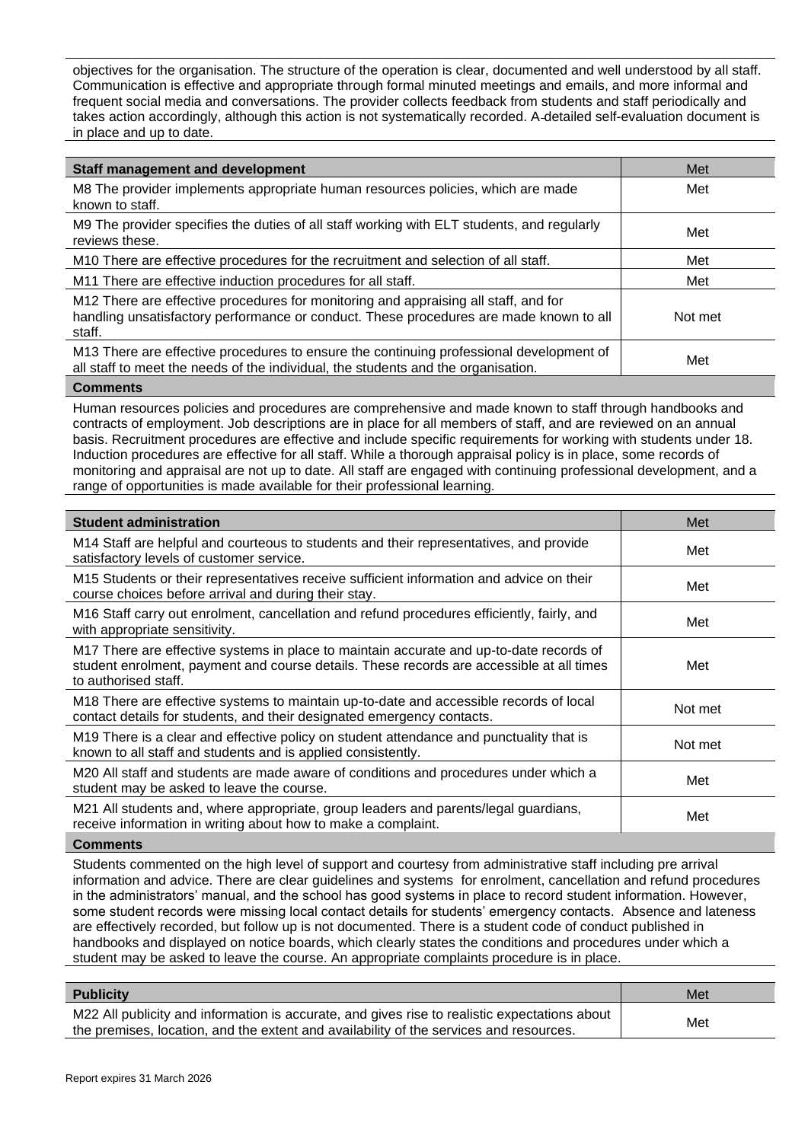objectives for the organisation. The structure of the operation is clear, documented and well understood by all staff. Communication is effective and appropriate through formal minuted meetings and emails, and more informal and frequent social media and conversations. The provider collects feedback from students and staff periodically and takes action accordingly, although this action is not systematically recorded. A detailed self-evaluation document is in place and up to date.

| <b>Staff management and development</b>                                                                                                                                                 | Met     |
|-----------------------------------------------------------------------------------------------------------------------------------------------------------------------------------------|---------|
| M8 The provider implements appropriate human resources policies, which are made<br>known to staff.                                                                                      | Met     |
| M9 The provider specifies the duties of all staff working with ELT students, and regularly<br>reviews these.                                                                            | Met     |
| M10 There are effective procedures for the recruitment and selection of all staff.                                                                                                      | Met     |
| M11 There are effective induction procedures for all staff.                                                                                                                             | Met     |
| M12 There are effective procedures for monitoring and appraising all staff, and for<br>handling unsatisfactory performance or conduct. These procedures are made known to all<br>staff. | Not met |
| M13 There are effective procedures to ensure the continuing professional development of<br>all staff to meet the needs of the individual, the students and the organisation.            | Met     |

## **Comments**

Human resources policies and procedures are comprehensive and made known to staff through handbooks and contracts of employment. Job descriptions are in place for all members of staff, and are reviewed on an annual basis. Recruitment procedures are effective and include specific requirements for working with students under 18. Induction procedures are effective for all staff. While a thorough appraisal policy is in place, some records of monitoring and appraisal are not up to date. All staff are engaged with continuing professional development, and a range of opportunities is made available for their professional learning.

| <b>Student administration</b>                                                                                                                                                                               | Met     |
|-------------------------------------------------------------------------------------------------------------------------------------------------------------------------------------------------------------|---------|
| M14 Staff are helpful and courteous to students and their representatives, and provide<br>satisfactory levels of customer service.                                                                          | Met     |
| M15 Students or their representatives receive sufficient information and advice on their<br>course choices before arrival and during their stay.                                                            | Met     |
| M16 Staff carry out enrolment, cancellation and refund procedures efficiently, fairly, and<br>with appropriate sensitivity.                                                                                 | Met     |
| M17 There are effective systems in place to maintain accurate and up-to-date records of<br>student enrolment, payment and course details. These records are accessible at all times<br>to authorised staff. | Met     |
| M18 There are effective systems to maintain up-to-date and accessible records of local<br>contact details for students, and their designated emergency contacts.                                            | Not met |
| M19 There is a clear and effective policy on student attendance and punctuality that is<br>known to all staff and students and is applied consistently.                                                     | Not met |
| M20 All staff and students are made aware of conditions and procedures under which a<br>student may be asked to leave the course.                                                                           | Met     |
| M21 All students and, where appropriate, group leaders and parents/legal guardians,<br>receive information in writing about how to make a complaint.                                                        | Met     |
|                                                                                                                                                                                                             |         |

#### **Comments**

Students commented on the high level of support and courtesy from administrative staff including pre arrival information and advice. There are clear guidelines and systems for enrolment, cancellation and refund procedures in the administrators' manual, and the school has good systems in place to record student information. However, some student records were missing local contact details for students' emergency contacts. Absence and lateness are effectively recorded, but follow up is not documented. There is a student code of conduct published in handbooks and displayed on notice boards, which clearly states the conditions and procedures under which a student may be asked to leave the course. An appropriate complaints procedure is in place.

| <b>Publicity</b>                                                                                                                                                                        | Met |
|-----------------------------------------------------------------------------------------------------------------------------------------------------------------------------------------|-----|
| M22 All publicity and information is accurate, and gives rise to realistic expectations about<br>the premises, location, and the extent and availability of the services and resources. | Met |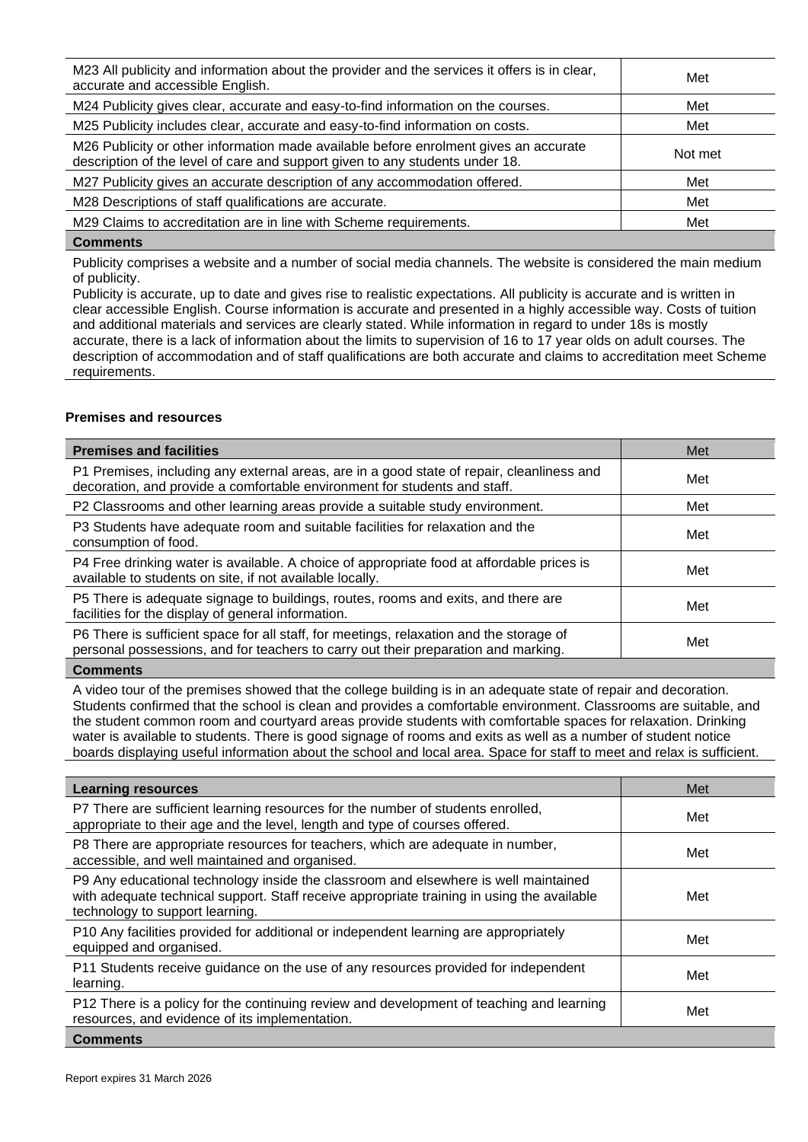| M23 All publicity and information about the provider and the services it offers is in clear,<br>accurate and accessible English.                                     | Met     |
|----------------------------------------------------------------------------------------------------------------------------------------------------------------------|---------|
| M24 Publicity gives clear, accurate and easy-to-find information on the courses.                                                                                     | Met     |
| M25 Publicity includes clear, accurate and easy-to-find information on costs.                                                                                        | Met     |
| M26 Publicity or other information made available before enrolment gives an accurate<br>description of the level of care and support given to any students under 18. | Not met |
| M27 Publicity gives an accurate description of any accommodation offered.                                                                                            | Met     |
| M28 Descriptions of staff qualifications are accurate.                                                                                                               | Met     |
| M29 Claims to accreditation are in line with Scheme requirements.                                                                                                    | Met     |
| $\sim$ $\sim$                                                                                                                                                        |         |

Publicity comprises a website and a number of social media channels. The website is considered the main medium of publicity.

Publicity is accurate, up to date and gives rise to realistic expectations. All publicity is accurate and is written in clear accessible English. Course information is accurate and presented in a highly accessible way. Costs of tuition and additional materials and services are clearly stated. While information in regard to under 18s is mostly accurate, there is a lack of information about the limits to supervision of 16 to 17 year olds on adult courses. The description of accommodation and of staff qualifications are both accurate and claims to accreditation meet Scheme requirements.

## **Premises and resources**

| <b>Premises and facilities</b>                                                                                                                                                | Met |
|-------------------------------------------------------------------------------------------------------------------------------------------------------------------------------|-----|
| P1 Premises, including any external areas, are in a good state of repair, cleanliness and<br>decoration, and provide a comfortable environment for students and staff.        | Met |
| P2 Classrooms and other learning areas provide a suitable study environment.                                                                                                  | Met |
| P3 Students have adequate room and suitable facilities for relaxation and the<br>consumption of food.                                                                         | Met |
| P4 Free drinking water is available. A choice of appropriate food at affordable prices is<br>available to students on site, if not available locally.                         | Met |
| P5 There is adequate signage to buildings, routes, rooms and exits, and there are<br>facilities for the display of general information.                                       | Met |
| P6 There is sufficient space for all staff, for meetings, relaxation and the storage of<br>personal possessions, and for teachers to carry out their preparation and marking. | Met |
| <b>A .</b> .                                                                                                                                                                  |     |

## **Comments**

A video tour of the premises showed that the college building is in an adequate state of repair and decoration. Students confirmed that the school is clean and provides a comfortable environment. Classrooms are suitable, and the student common room and courtyard areas provide students with comfortable spaces for relaxation. Drinking water is available to students. There is good signage of rooms and exits as well as a number of student notice boards displaying useful information about the school and local area. Space for staff to meet and relax is sufficient.

| <b>Learning resources</b>                                                                                                                                                                                            | Met |
|----------------------------------------------------------------------------------------------------------------------------------------------------------------------------------------------------------------------|-----|
| P7 There are sufficient learning resources for the number of students enrolled,<br>appropriate to their age and the level, length and type of courses offered.                                                       | Met |
| P8 There are appropriate resources for teachers, which are adequate in number,<br>accessible, and well maintained and organised.                                                                                     | Met |
| P9 Any educational technology inside the classroom and elsewhere is well maintained<br>with adequate technical support. Staff receive appropriate training in using the available<br>technology to support learning. | Met |
| P10 Any facilities provided for additional or independent learning are appropriately<br>equipped and organised.                                                                                                      | Met |
| P11 Students receive guidance on the use of any resources provided for independent<br>learning.                                                                                                                      | Met |
| P12 There is a policy for the continuing review and development of teaching and learning<br>resources, and evidence of its implementation.                                                                           | Met |
| Comments                                                                                                                                                                                                             |     |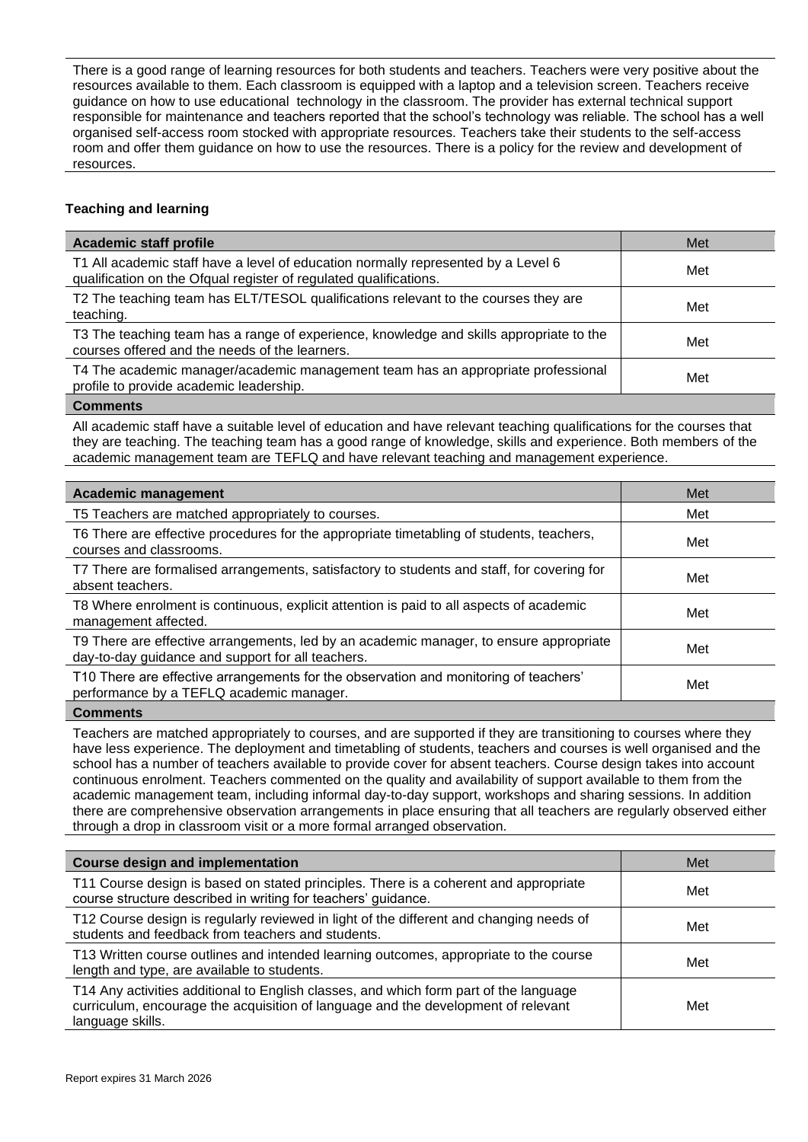There is a good range of learning resources for both students and teachers. Teachers were very positive about the resources available to them. Each classroom is equipped with a laptop and a television screen. Teachers receive guidance on how to use educational technology in the classroom. The provider has external technical support responsible for maintenance and teachers reported that the school's technology was reliable. The school has a well organised self-access room stocked with appropriate resources. Teachers take their students to the self-access room and offer them guidance on how to use the resources. There is a policy for the review and development of resources.

## **Teaching and learning**

| <b>Academic staff profile</b>                                                                                                                          | Met |
|--------------------------------------------------------------------------------------------------------------------------------------------------------|-----|
| T1 All academic staff have a level of education normally represented by a Level 6<br>qualification on the Ofqual register of regulated qualifications. | Met |
| T2 The teaching team has ELT/TESOL qualifications relevant to the courses they are<br>teaching.                                                        | Met |
| T3 The teaching team has a range of experience, knowledge and skills appropriate to the<br>courses offered and the needs of the learners.              | Met |
| T4 The academic manager/academic management team has an appropriate professional<br>profile to provide academic leadership.                            | Met |
|                                                                                                                                                        |     |

## **Comments**

All academic staff have a suitable level of education and have relevant teaching qualifications for the courses that they are teaching. The teaching team has a good range of knowledge, skills and experience. Both members of the academic management team are TEFLQ and have relevant teaching and management experience.

| T5 Teachers are matched appropriately to courses.<br>Met                                                                                           |  |
|----------------------------------------------------------------------------------------------------------------------------------------------------|--|
|                                                                                                                                                    |  |
| T6 There are effective procedures for the appropriate timetabling of students, teachers,<br>Met<br>courses and classrooms.                         |  |
| T7 There are formalised arrangements, satisfactory to students and staff, for covering for<br>Met<br>absent teachers.                              |  |
| T8 Where enrolment is continuous, explicit attention is paid to all aspects of academic<br>Met<br>management affected.                             |  |
| T9 There are effective arrangements, led by an academic manager, to ensure appropriate<br>Met<br>day-to-day guidance and support for all teachers. |  |
| T10 There are effective arrangements for the observation and monitoring of teachers'<br>Met<br>performance by a TEFLQ academic manager.            |  |

#### **Comments**

Teachers are matched appropriately to courses, and are supported if they are transitioning to courses where they have less experience. The deployment and timetabling of students, teachers and courses is well organised and the school has a number of teachers available to provide cover for absent teachers. Course design takes into account continuous enrolment. Teachers commented on the quality and availability of support available to them from the academic management team, including informal day-to-day support, workshops and sharing sessions. In addition there are comprehensive observation arrangements in place ensuring that all teachers are regularly observed either through a drop in classroom visit or a more formal arranged observation.

| <b>Course design and implementation</b>                                                                                                                                                        | Met |
|------------------------------------------------------------------------------------------------------------------------------------------------------------------------------------------------|-----|
| T11 Course design is based on stated principles. There is a coherent and appropriate<br>course structure described in writing for teachers' guidance.                                          | Met |
| T12 Course design is regularly reviewed in light of the different and changing needs of<br>students and feedback from teachers and students.                                                   | Met |
| T13 Written course outlines and intended learning outcomes, appropriate to the course<br>length and type, are available to students.                                                           | Met |
| T14 Any activities additional to English classes, and which form part of the language<br>curriculum, encourage the acquisition of language and the development of relevant<br>language skills. | Met |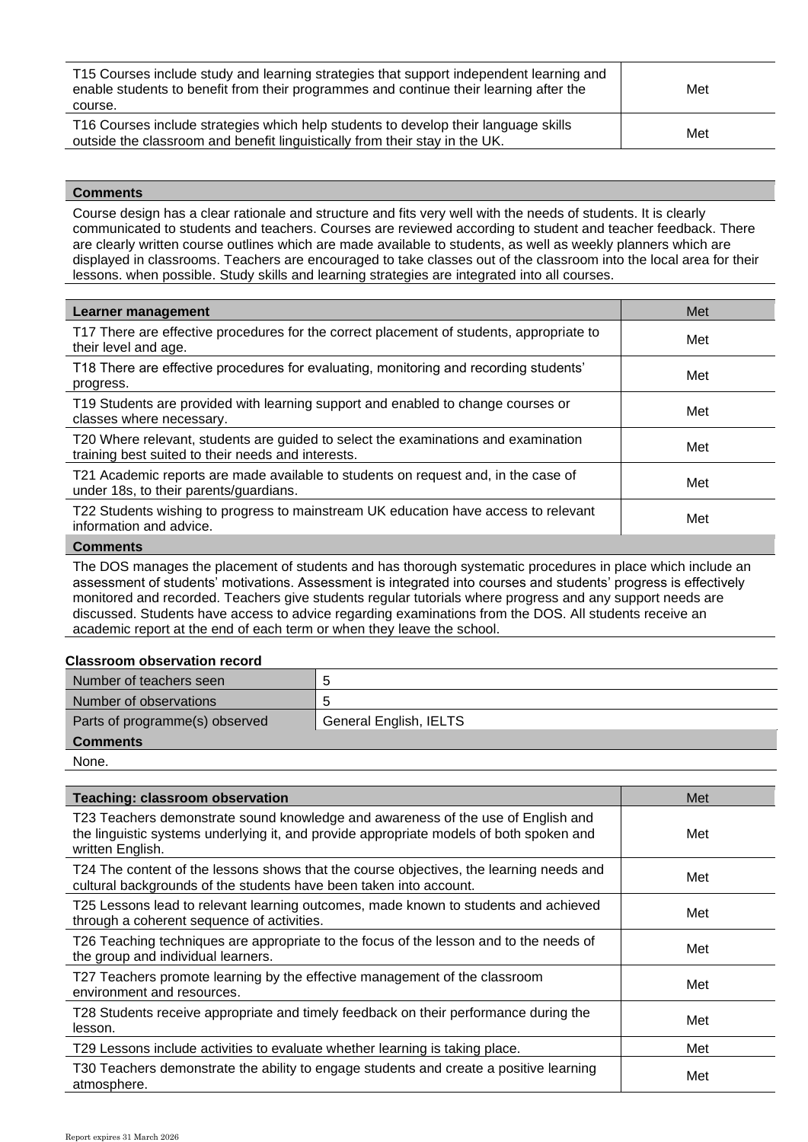| T15 Courses include study and learning strategies that support independent learning and<br>enable students to benefit from their programmes and continue their learning after the<br>course. | Met |
|----------------------------------------------------------------------------------------------------------------------------------------------------------------------------------------------|-----|
| T16 Courses include strategies which help students to develop their language skills<br>outside the classroom and benefit linguistically from their stay in the UK.                           | Met |

Course design has a clear rationale and structure and fits very well with the needs of students. It is clearly communicated to students and teachers. Courses are reviewed according to student and teacher feedback. There are clearly written course outlines which are made available to students, as well as weekly planners which are displayed in classrooms. Teachers are encouraged to take classes out of the classroom into the local area for their lessons. when possible. Study skills and learning strategies are integrated into all courses.

| <b>Learner management</b>                                                                                                                | Met |
|------------------------------------------------------------------------------------------------------------------------------------------|-----|
| T17 There are effective procedures for the correct placement of students, appropriate to<br>their level and age.                         | Met |
| T18 There are effective procedures for evaluating, monitoring and recording students'<br>progress.                                       | Met |
| T19 Students are provided with learning support and enabled to change courses or<br>classes where necessary.                             | Met |
| T20 Where relevant, students are guided to select the examinations and examination<br>training best suited to their needs and interests. | Met |
| T21 Academic reports are made available to students on request and, in the case of<br>under 18s, to their parents/guardians.             | Met |
| T22 Students wishing to progress to mainstream UK education have access to relevant<br>information and advice.                           | Met |
| $\sim$ $\sim$                                                                                                                            |     |

#### **Comments**

The DOS manages the placement of students and has thorough systematic procedures in place which include an assessment of students' motivations. Assessment is integrated into courses and students' progress is effectively monitored and recorded. Teachers give students regular tutorials where progress and any support needs are discussed. Students have access to advice regarding examinations from the DOS. All students receive an academic report at the end of each term or when they leave the school.

#### **Classroom observation record**

| Number of teachers seen        |                        |
|--------------------------------|------------------------|
| Number of observations         |                        |
| Parts of programme(s) observed | General English, IELTS |
| <b>Comments</b>                |                        |

None.

| <b>Teaching: classroom observation</b>                                                                                                                                                          | Met |
|-------------------------------------------------------------------------------------------------------------------------------------------------------------------------------------------------|-----|
| T23 Teachers demonstrate sound knowledge and awareness of the use of English and<br>the linguistic systems underlying it, and provide appropriate models of both spoken and<br>written English. | Met |
| T24 The content of the lessons shows that the course objectives, the learning needs and<br>cultural backgrounds of the students have been taken into account.                                   | Met |
| T25 Lessons lead to relevant learning outcomes, made known to students and achieved<br>through a coherent sequence of activities.                                                               | Met |
| T26 Teaching techniques are appropriate to the focus of the lesson and to the needs of<br>the group and individual learners.                                                                    | Met |
| T27 Teachers promote learning by the effective management of the classroom<br>environment and resources.                                                                                        | Met |
| T28 Students receive appropriate and timely feedback on their performance during the<br>lesson.                                                                                                 | Met |
| T29 Lessons include activities to evaluate whether learning is taking place.                                                                                                                    | Met |
| T30 Teachers demonstrate the ability to engage students and create a positive learning<br>atmosphere.                                                                                           | Met |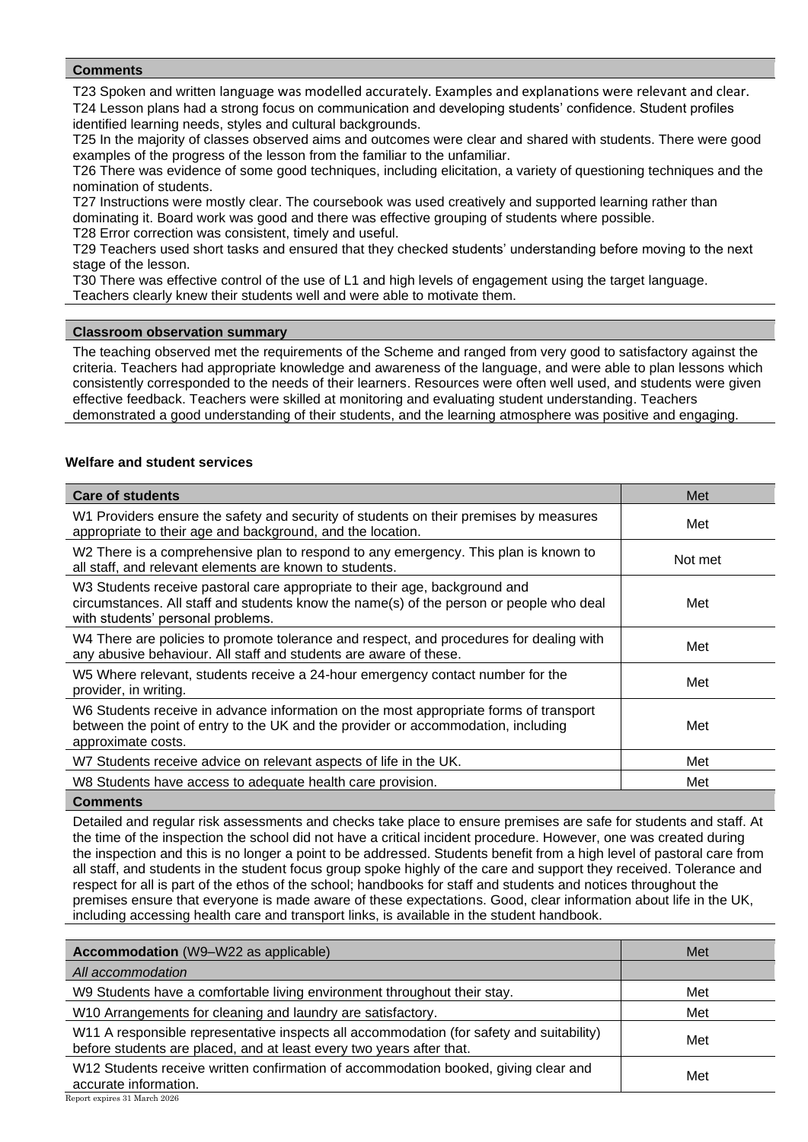T23 Spoken and written language was modelled accurately. Examples and explanations were relevant and clear. T24 Lesson plans had a strong focus on communication and developing students' confidence. Student profiles identified learning needs, styles and cultural backgrounds.

T25 In the majority of classes observed aims and outcomes were clear and shared with students. There were good examples of the progress of the lesson from the familiar to the unfamiliar.

T26 There was evidence of some good techniques, including elicitation, a variety of questioning techniques and the nomination of students.

T27 Instructions were mostly clear. The coursebook was used creatively and supported learning rather than dominating it. Board work was good and there was effective grouping of students where possible. T28 Error correction was consistent, timely and useful.

T29 Teachers used short tasks and ensured that they checked students' understanding before moving to the next stage of the lesson.

T30 There was effective control of the use of L1 and high levels of engagement using the target language.

Teachers clearly knew their students well and were able to motivate them.

## **Classroom observation summary**

The teaching observed met the requirements of the Scheme and ranged from very good to satisfactory against the criteria. Teachers had appropriate knowledge and awareness of the language, and were able to plan lessons which consistently corresponded to the needs of their learners. Resources were often well used, and students were given effective feedback. Teachers were skilled at monitoring and evaluating student understanding. Teachers demonstrated a good understanding of their students, and the learning atmosphere was positive and engaging.

## **Welfare and student services**

| <b>Care of students</b>                                                                                                                                                                                    | Met     |
|------------------------------------------------------------------------------------------------------------------------------------------------------------------------------------------------------------|---------|
| W1 Providers ensure the safety and security of students on their premises by measures<br>appropriate to their age and background, and the location.                                                        | Met     |
| W2 There is a comprehensive plan to respond to any emergency. This plan is known to<br>all staff, and relevant elements are known to students.                                                             | Not met |
| W3 Students receive pastoral care appropriate to their age, background and<br>circumstances. All staff and students know the name(s) of the person or people who deal<br>with students' personal problems. | Met     |
| W4 There are policies to promote tolerance and respect, and procedures for dealing with<br>any abusive behaviour. All staff and students are aware of these.                                               | Met     |
| W5 Where relevant, students receive a 24-hour emergency contact number for the<br>provider, in writing.                                                                                                    | Met     |
| W6 Students receive in advance information on the most appropriate forms of transport<br>between the point of entry to the UK and the provider or accommodation, including<br>approximate costs.           | Met     |
| W7 Students receive advice on relevant aspects of life in the UK.                                                                                                                                          | Met     |
| W8 Students have access to adequate health care provision.                                                                                                                                                 | Met     |
| <b>Comments</b>                                                                                                                                                                                            |         |

Detailed and regular risk assessments and checks take place to ensure premises are safe for students and staff. At the time of the inspection the school did not have a critical incident procedure. However, one was created during the inspection and this is no longer a point to be addressed. Students benefit from a high level of pastoral care from all staff, and students in the student focus group spoke highly of the care and support they received. Tolerance and respect for all is part of the ethos of the school; handbooks for staff and students and notices throughout the premises ensure that everyone is made aware of these expectations. Good, clear information about life in the UK, including accessing health care and transport links, is available in the student handbook.

| <b>Accommodation</b> (W9-W22 as applicable)                                                                                                                      | Met |
|------------------------------------------------------------------------------------------------------------------------------------------------------------------|-----|
| All accommodation                                                                                                                                                |     |
| W9 Students have a comfortable living environment throughout their stay.                                                                                         | Met |
| W10 Arrangements for cleaning and laundry are satisfactory.                                                                                                      | Met |
| W11 A responsible representative inspects all accommodation (for safety and suitability)<br>before students are placed, and at least every two years after that. | Met |
| W12 Students receive written confirmation of accommodation booked, giving clear and<br>accurate information.                                                     | Met |
| Report expires 31 March 2026                                                                                                                                     |     |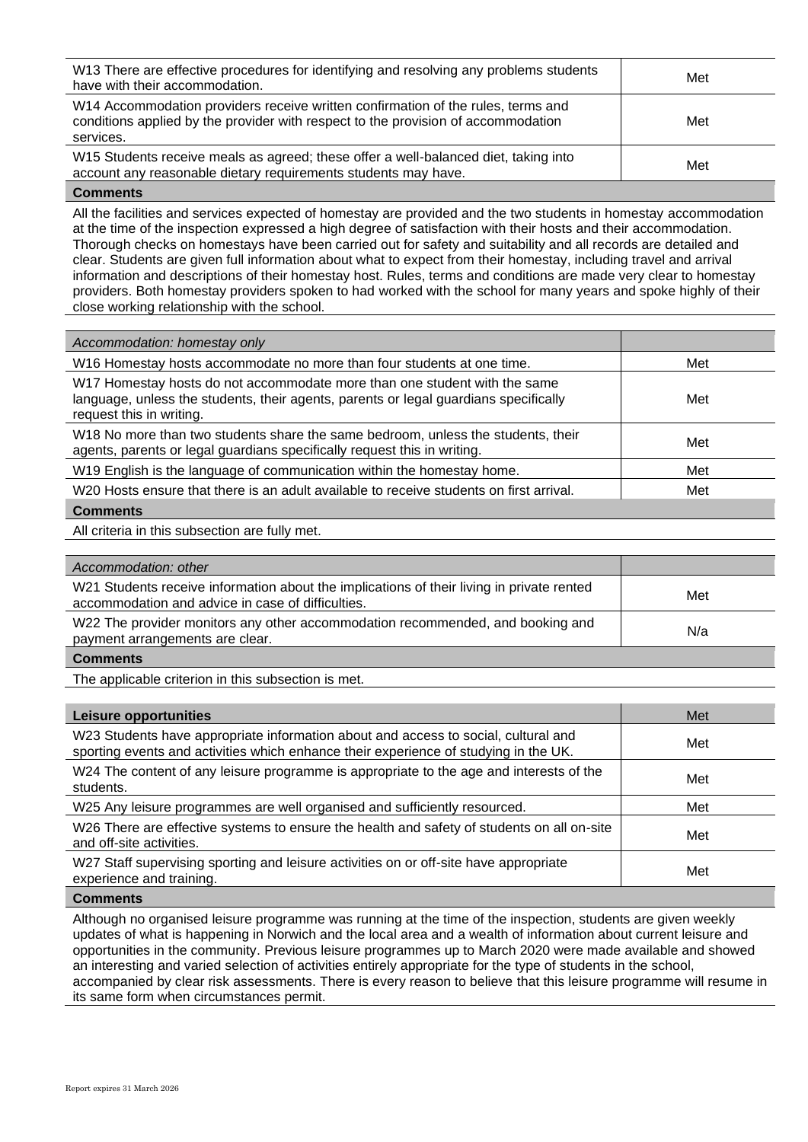| W13 There are effective procedures for identifying and resolving any problems students<br>have with their accommodation.                                                           | Met |
|------------------------------------------------------------------------------------------------------------------------------------------------------------------------------------|-----|
| W14 Accommodation providers receive written confirmation of the rules, terms and<br>conditions applied by the provider with respect to the provision of accommodation<br>services. | Met |
| W15 Students receive meals as agreed; these offer a well-balanced diet, taking into<br>account any reasonable dietary requirements students may have.                              | Met |

All the facilities and services expected of homestay are provided and the two students in homestay accommodation at the time of the inspection expressed a high degree of satisfaction with their hosts and their accommodation. Thorough checks on homestays have been carried out for safety and suitability and all records are detailed and clear. Students are given full information about what to expect from their homestay, including travel and arrival information and descriptions of their homestay host. Rules, terms and conditions are made very clear to homestay providers. Both homestay providers spoken to had worked with the school for many years and spoke highly of their close working relationship with the school.

| Accommodation: homestay only                                                                                                                                                                  |     |
|-----------------------------------------------------------------------------------------------------------------------------------------------------------------------------------------------|-----|
| W16 Homestay hosts accommodate no more than four students at one time.                                                                                                                        | Met |
| W17 Homestay hosts do not accommodate more than one student with the same<br>language, unless the students, their agents, parents or legal guardians specifically<br>request this in writing. | Met |
| W18 No more than two students share the same bedroom, unless the students, their<br>agents, parents or legal guardians specifically request this in writing.                                  | Met |
| W19 English is the language of communication within the homestay home.                                                                                                                        | Met |
| W20 Hosts ensure that there is an adult available to receive students on first arrival.                                                                                                       | Met |
| <b>Comments</b>                                                                                                                                                                               |     |
|                                                                                                                                                                                               |     |

All criteria in this subsection are fully met.

| Accommodation: other                                                                                                                           |     |
|------------------------------------------------------------------------------------------------------------------------------------------------|-----|
| W21 Students receive information about the implications of their living in private rented<br>accommodation and advice in case of difficulties. | Met |
| W22 The provider monitors any other accommodation recommended, and booking and<br>payment arrangements are clear.                              | N/a |
| <b>Comments</b>                                                                                                                                |     |

The applicable criterion in this subsection is met.

| Leisure opportunities                                                                                                                                                      | Met |
|----------------------------------------------------------------------------------------------------------------------------------------------------------------------------|-----|
| W23 Students have appropriate information about and access to social, cultural and<br>sporting events and activities which enhance their experience of studying in the UK. | Met |
| W24 The content of any leisure programme is appropriate to the age and interests of the<br>students.                                                                       | Met |
| W25 Any leisure programmes are well organised and sufficiently resourced.                                                                                                  | Met |
| W26 There are effective systems to ensure the health and safety of students on all on-site<br>and off-site activities.                                                     | Met |
| W27 Staff supervising sporting and leisure activities on or off-site have appropriate<br>experience and training.                                                          | Met |
|                                                                                                                                                                            |     |

#### **Comments**

Although no organised leisure programme was running at the time of the inspection, students are given weekly updates of what is happening in Norwich and the local area and a wealth of information about current leisure and opportunities in the community. Previous leisure programmes up to March 2020 were made available and showed an interesting and varied selection of activities entirely appropriate for the type of students in the school, accompanied by clear risk assessments. There is every reason to believe that this leisure programme will resume in its same form when circumstances permit.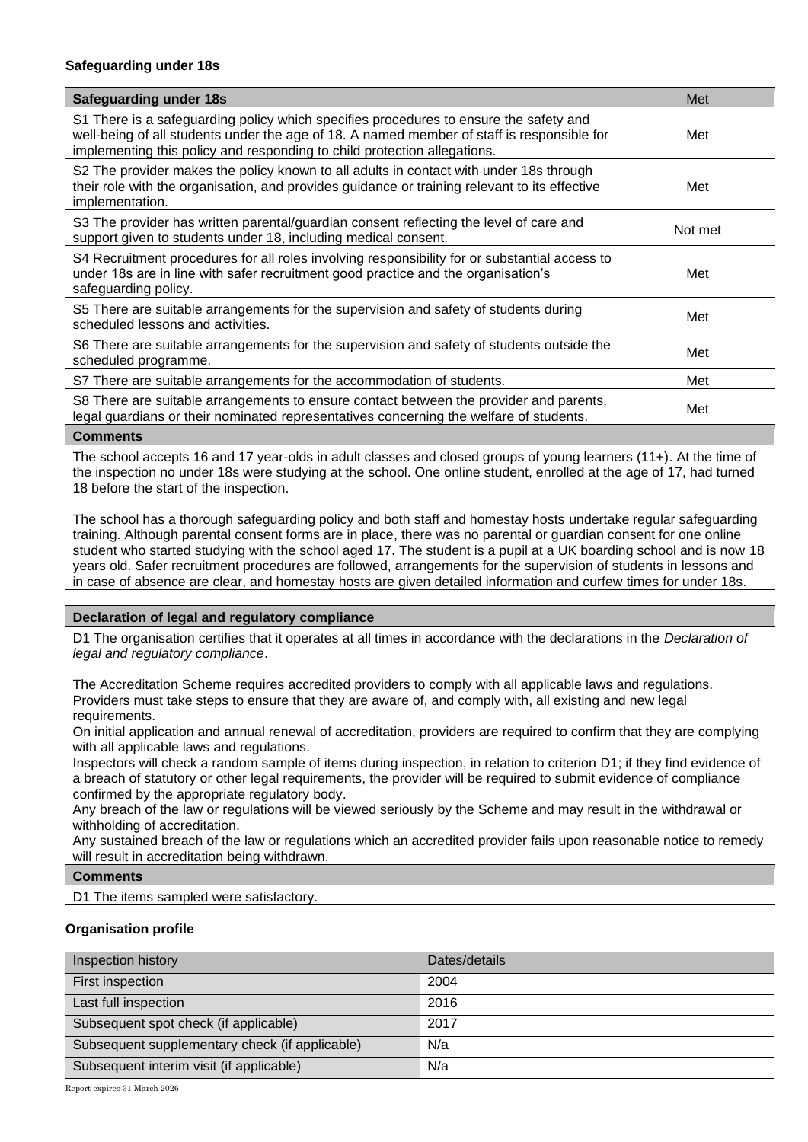## **Safeguarding under 18s**

| <b>Safeguarding under 18s</b>                                                                                                                                                                                                                                   | Met     |
|-----------------------------------------------------------------------------------------------------------------------------------------------------------------------------------------------------------------------------------------------------------------|---------|
| S1 There is a safeguarding policy which specifies procedures to ensure the safety and<br>well-being of all students under the age of 18. A named member of staff is responsible for<br>implementing this policy and responding to child protection allegations. | Met     |
| S2 The provider makes the policy known to all adults in contact with under 18s through<br>their role with the organisation, and provides guidance or training relevant to its effective<br>implementation.                                                      | Met     |
| S3 The provider has written parental/guardian consent reflecting the level of care and<br>support given to students under 18, including medical consent.                                                                                                        | Not met |
| S4 Recruitment procedures for all roles involving responsibility for or substantial access to<br>under 18s are in line with safer recruitment good practice and the organisation's<br>safeguarding policy.                                                      | Met     |
| S5 There are suitable arrangements for the supervision and safety of students during<br>scheduled lessons and activities.                                                                                                                                       | Met     |
| S6 There are suitable arrangements for the supervision and safety of students outside the<br>scheduled programme.                                                                                                                                               | Met     |
| S7 There are suitable arrangements for the accommodation of students.                                                                                                                                                                                           | Met     |
| S8 There are suitable arrangements to ensure contact between the provider and parents,<br>legal guardians or their nominated representatives concerning the welfare of students.                                                                                | Met     |

#### **Comments**

The school accepts 16 and 17 year-olds in adult classes and closed groups of young learners (11+). At the time of the inspection no under 18s were studying at the school. One online student, enrolled at the age of 17, had turned 18 before the start of the inspection.

The school has a thorough safeguarding policy and both staff and homestay hosts undertake regular safeguarding training. Although parental consent forms are in place, there was no parental or guardian consent for one online student who started studying with the school aged 17. The student is a pupil at a UK boarding school and is now 18 years old. Safer recruitment procedures are followed, arrangements for the supervision of students in lessons and in case of absence are clear, and homestay hosts are given detailed information and curfew times for under 18s.

## **Declaration of legal and regulatory compliance**

D1 The organisation certifies that it operates at all times in accordance with the declarations in the *Declaration of legal and regulatory compliance*.

The Accreditation Scheme requires accredited providers to comply with all applicable laws and regulations. Providers must take steps to ensure that they are aware of, and comply with, all existing and new legal requirements.

On initial application and annual renewal of accreditation, providers are required to confirm that they are complying with all applicable laws and regulations.

Inspectors will check a random sample of items during inspection, in relation to criterion D1; if they find evidence of a breach of statutory or other legal requirements, the provider will be required to submit evidence of compliance confirmed by the appropriate regulatory body.

Any breach of the law or regulations will be viewed seriously by the Scheme and may result in the withdrawal or withholding of accreditation.

Any sustained breach of the law or regulations which an accredited provider fails upon reasonable notice to remedy will result in accreditation being withdrawn.

#### **Comments**

D1 The items sampled were satisfactory.

## **Organisation profile**

| Inspection history                             | Dates/details |
|------------------------------------------------|---------------|
| First inspection                               | 2004          |
| Last full inspection                           | 2016          |
| Subsequent spot check (if applicable)          | 2017          |
| Subsequent supplementary check (if applicable) | N/a           |
| Subsequent interim visit (if applicable)       | N/a           |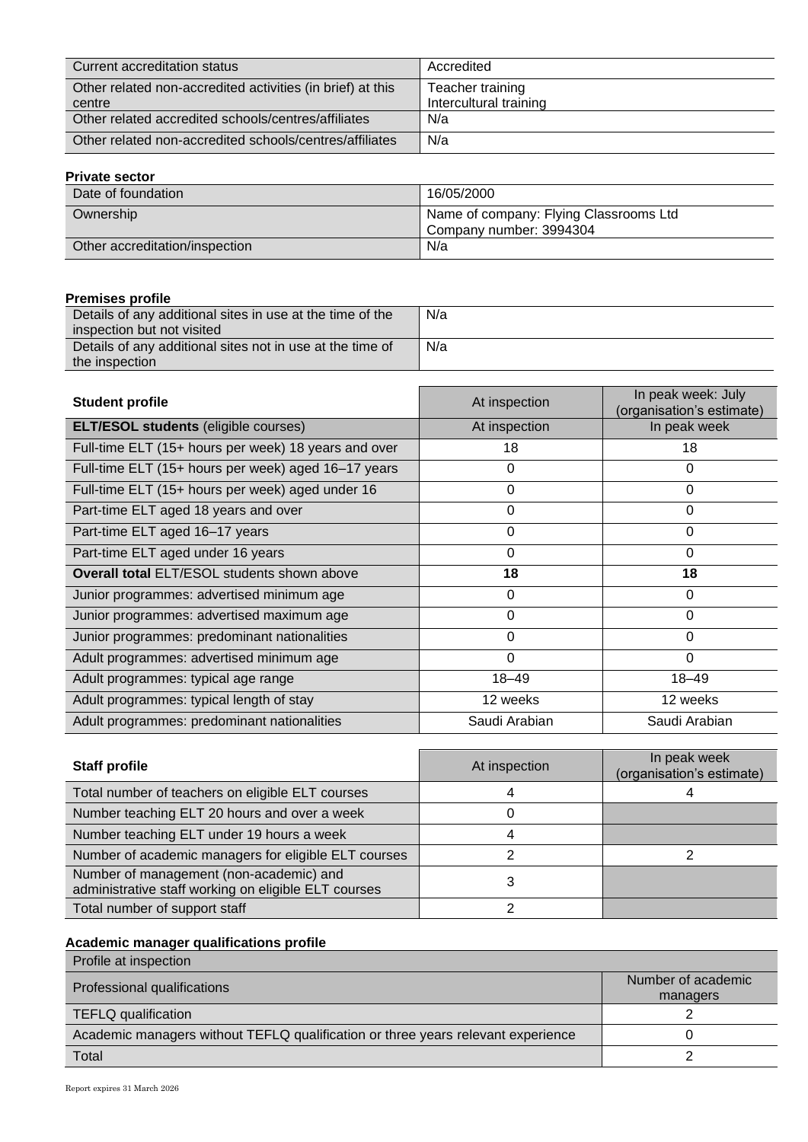| Current accreditation status                               | Accredited             |
|------------------------------------------------------------|------------------------|
| Other related non-accredited activities (in brief) at this | Teacher training       |
| centre                                                     | Intercultural training |
| Other related accredited schools/centres/affiliates        | N/a                    |
| Other related non-accredited schools/centres/affiliates    | N/a                    |

## **Private sector**

| Date of foundation             | 16/05/2000                                                        |
|--------------------------------|-------------------------------------------------------------------|
| Ownership                      | Name of company: Flying Classrooms Ltd<br>Company number: 3994304 |
| Other accreditation/inspection | N/a                                                               |

## **Premises profile**

| .                                                         |     |
|-----------------------------------------------------------|-----|
| Details of any additional sites in use at the time of the | N/a |
| inspection but not visited                                |     |
| Details of any additional sites not in use at the time of | N/a |
| the inspection                                            |     |

| <b>Student profile</b>                               | At inspection | In peak week: July<br>(organisation's estimate) |
|------------------------------------------------------|---------------|-------------------------------------------------|
| <b>ELT/ESOL students (eligible courses)</b>          | At inspection | In peak week                                    |
| Full-time ELT (15+ hours per week) 18 years and over | 18            | 18                                              |
| Full-time ELT (15+ hours per week) aged 16-17 years  | 0             | 0                                               |
| Full-time ELT (15+ hours per week) aged under 16     | 0             | 0                                               |
| Part-time ELT aged 18 years and over                 | 0             | 0                                               |
| Part-time ELT aged 16-17 years                       | 0             | 0                                               |
| Part-time ELT aged under 16 years                    | 0             | $\Omega$                                        |
| <b>Overall total ELT/ESOL students shown above</b>   | 18            | 18                                              |
| Junior programmes: advertised minimum age            | 0             | 0                                               |
| Junior programmes: advertised maximum age            | $\Omega$      | 0                                               |
| Junior programmes: predominant nationalities         | $\Omega$      | $\Omega$                                        |
| Adult programmes: advertised minimum age             | $\Omega$      | 0                                               |
| Adult programmes: typical age range                  | $18 - 49$     | $18 - 49$                                       |
| Adult programmes: typical length of stay             | 12 weeks      | 12 weeks                                        |
| Adult programmes: predominant nationalities          | Saudi Arabian | Saudi Arabian                                   |

| <b>Staff profile</b>                                                                            | At inspection | In peak week<br>(organisation's estimate) |
|-------------------------------------------------------------------------------------------------|---------------|-------------------------------------------|
| Total number of teachers on eligible ELT courses                                                |               |                                           |
| Number teaching ELT 20 hours and over a week                                                    |               |                                           |
| Number teaching ELT under 19 hours a week                                                       |               |                                           |
| Number of academic managers for eligible ELT courses                                            |               |                                           |
| Number of management (non-academic) and<br>administrative staff working on eligible ELT courses | 3             |                                           |
| Total number of support staff                                                                   |               |                                           |

## **Academic manager qualifications profile**

| Profile at inspection                                                            |                                |
|----------------------------------------------------------------------------------|--------------------------------|
| Professional qualifications                                                      | Number of academic<br>managers |
| TEFLQ qualification                                                              |                                |
| Academic managers without TEFLQ qualification or three years relevant experience |                                |
| Total                                                                            |                                |